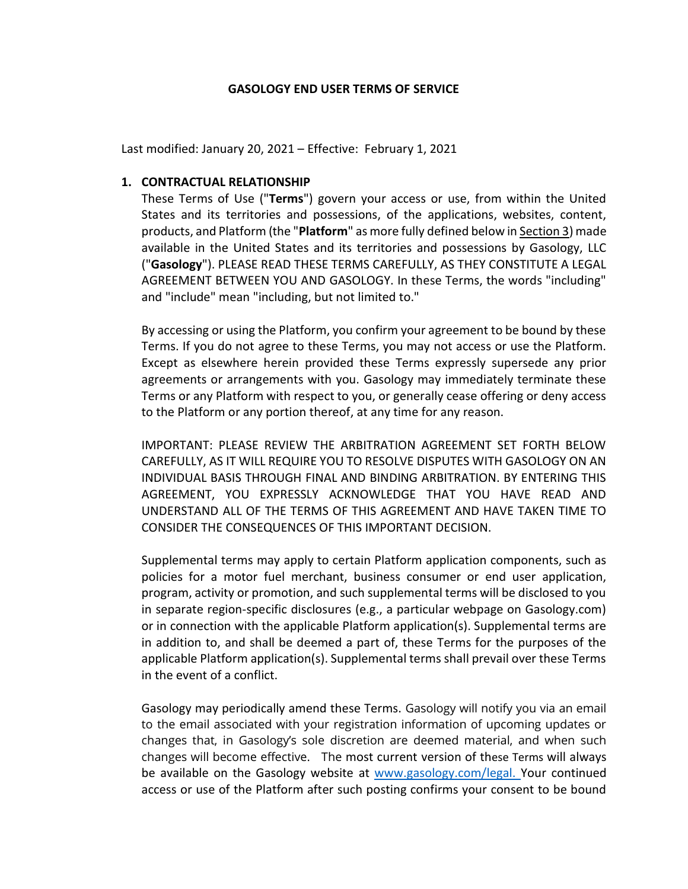#### GASOLOGY END USER TERMS OF SERVICE

Last modified: January 20, 2021 – Effective: February 1, 2021

### 1. CONTRACTUAL RELATIONSHIP

These Terms of Use ("Terms") govern your access or use, from within the United States and its territories and possessions, of the applications, websites, content, products, and Platform (the "Platform" as more fully defined below in Section 3) made available in the United States and its territories and possessions by Gasology, LLC ("Gasology"). PLEASE READ THESE TERMS CAREFULLY, AS THEY CONSTITUTE A LEGAL AGREEMENT BETWEEN YOU AND GASOLOGY. In these Terms, the words "including" and "include" mean "including, but not limited to."

By accessing or using the Platform, you confirm your agreement to be bound by these Terms. If you do not agree to these Terms, you may not access or use the Platform. Except as elsewhere herein provided these Terms expressly supersede any prior agreements or arrangements with you. Gasology may immediately terminate these Terms or any Platform with respect to you, or generally cease offering or deny access to the Platform or any portion thereof, at any time for any reason.

IMPORTANT: PLEASE REVIEW THE ARBITRATION AGREEMENT SET FORTH BELOW CAREFULLY, AS IT WILL REQUIRE YOU TO RESOLVE DISPUTES WITH GASOLOGY ON AN INDIVIDUAL BASIS THROUGH FINAL AND BINDING ARBITRATION. BY ENTERING THIS AGREEMENT, YOU EXPRESSLY ACKNOWLEDGE THAT YOU HAVE READ AND UNDERSTAND ALL OF THE TERMS OF THIS AGREEMENT AND HAVE TAKEN TIME TO CONSIDER THE CONSEQUENCES OF THIS IMPORTANT DECISION.

Supplemental terms may apply to certain Platform application components, such as policies for a motor fuel merchant, business consumer or end user application, program, activity or promotion, and such supplemental terms will be disclosed to you in separate region-specific disclosures (e.g., a particular webpage on Gasology.com) or in connection with the applicable Platform application(s). Supplemental terms are in addition to, and shall be deemed a part of, these Terms for the purposes of the applicable Platform application(s). Supplemental terms shall prevail over these Terms in the event of a conflict.

Gasology may periodically amend these Terms. Gasology will notify you via an email to the email associated with your registration information of upcoming updates or changes that, in Gasology's sole discretion are deemed material, and when such changes will become effective. The most current version of these Terms will always be available on the Gasology website at www.gasology.com/legal. Your continued access or use of the Platform after such posting confirms your consent to be bound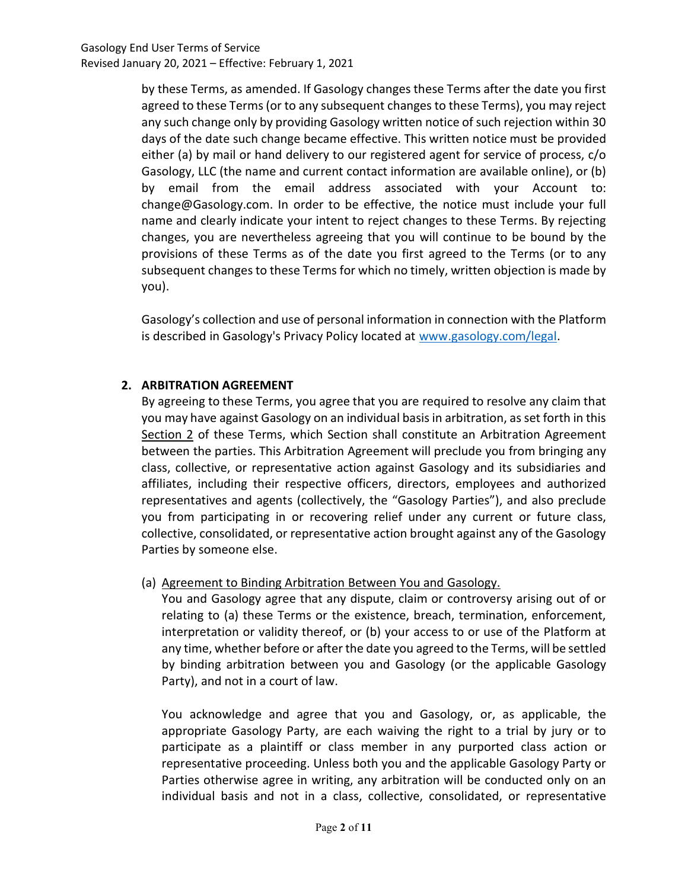by these Terms, as amended. If Gasology changes these Terms after the date you first agreed to these Terms (or to any subsequent changes to these Terms), you may reject any such change only by providing Gasology written notice of such rejection within 30 days of the date such change became effective. This written notice must be provided either (a) by mail or hand delivery to our registered agent for service of process, c/o Gasology, LLC (the name and current contact information are available online), or (b) by email from the email address associated with your Account to: change@Gasology.com. In order to be effective, the notice must include your full name and clearly indicate your intent to reject changes to these Terms. By rejecting changes, you are nevertheless agreeing that you will continue to be bound by the provisions of these Terms as of the date you first agreed to the Terms (or to any subsequent changes to these Terms for which no timely, written objection is made by you).

Gasology's collection and use of personal information in connection with the Platform is described in Gasology's Privacy Policy located at www.gasology.com/legal.

# 2. ARBITRATION AGREEMENT

By agreeing to these Terms, you agree that you are required to resolve any claim that you may have against Gasology on an individual basis in arbitration, as set forth in this Section 2 of these Terms, which Section shall constitute an Arbitration Agreement between the parties. This Arbitration Agreement will preclude you from bringing any class, collective, or representative action against Gasology and its subsidiaries and affiliates, including their respective officers, directors, employees and authorized representatives and agents (collectively, the "Gasology Parties"), and also preclude you from participating in or recovering relief under any current or future class, collective, consolidated, or representative action brought against any of the Gasology Parties by someone else.

# (a) Agreement to Binding Arbitration Between You and Gasology.

You and Gasology agree that any dispute, claim or controversy arising out of or relating to (a) these Terms or the existence, breach, termination, enforcement, interpretation or validity thereof, or (b) your access to or use of the Platform at any time, whether before or after the date you agreed to the Terms, will be settled by binding arbitration between you and Gasology (or the applicable Gasology Party), and not in a court of law.

You acknowledge and agree that you and Gasology, or, as applicable, the appropriate Gasology Party, are each waiving the right to a trial by jury or to participate as a plaintiff or class member in any purported class action or representative proceeding. Unless both you and the applicable Gasology Party or Parties otherwise agree in writing, any arbitration will be conducted only on an individual basis and not in a class, collective, consolidated, or representative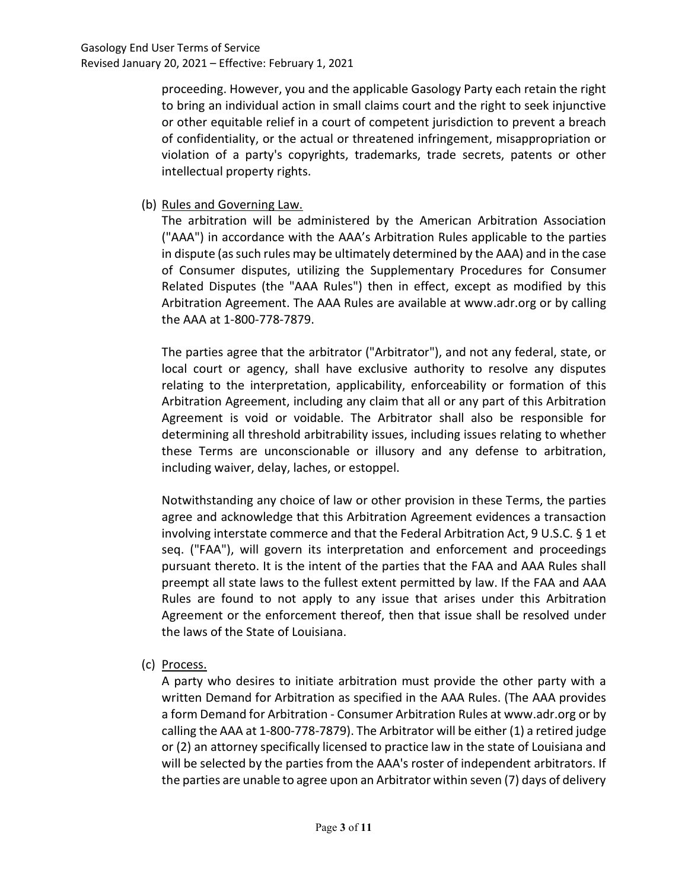proceeding. However, you and the applicable Gasology Party each retain the right to bring an individual action in small claims court and the right to seek injunctive or other equitable relief in a court of competent jurisdiction to prevent a breach of confidentiality, or the actual or threatened infringement, misappropriation or violation of a party's copyrights, trademarks, trade secrets, patents or other intellectual property rights.

(b) Rules and Governing Law.

The arbitration will be administered by the American Arbitration Association ("AAA") in accordance with the AAA's Arbitration Rules applicable to the parties in dispute (as such rules may be ultimately determined by the AAA) and in the case of Consumer disputes, utilizing the Supplementary Procedures for Consumer Related Disputes (the "AAA Rules") then in effect, except as modified by this Arbitration Agreement. The AAA Rules are available at www.adr.org or by calling the AAA at 1-800-778-7879.

The parties agree that the arbitrator ("Arbitrator"), and not any federal, state, or local court or agency, shall have exclusive authority to resolve any disputes relating to the interpretation, applicability, enforceability or formation of this Arbitration Agreement, including any claim that all or any part of this Arbitration Agreement is void or voidable. The Arbitrator shall also be responsible for determining all threshold arbitrability issues, including issues relating to whether these Terms are unconscionable or illusory and any defense to arbitration, including waiver, delay, laches, or estoppel.

Notwithstanding any choice of law or other provision in these Terms, the parties agree and acknowledge that this Arbitration Agreement evidences a transaction involving interstate commerce and that the Federal Arbitration Act, 9 U.S.C. § 1 et seq. ("FAA"), will govern its interpretation and enforcement and proceedings pursuant thereto. It is the intent of the parties that the FAA and AAA Rules shall preempt all state laws to the fullest extent permitted by law. If the FAA and AAA Rules are found to not apply to any issue that arises under this Arbitration Agreement or the enforcement thereof, then that issue shall be resolved under the laws of the State of Louisiana.

(c) Process.

A party who desires to initiate arbitration must provide the other party with a written Demand for Arbitration as specified in the AAA Rules. (The AAA provides a form Demand for Arbitration - Consumer Arbitration Rules at www.adr.org or by calling the AAA at 1-800-778-7879). The Arbitrator will be either (1) a retired judge or (2) an attorney specifically licensed to practice law in the state of Louisiana and will be selected by the parties from the AAA's roster of independent arbitrators. If the parties are unable to agree upon an Arbitrator within seven (7) days of delivery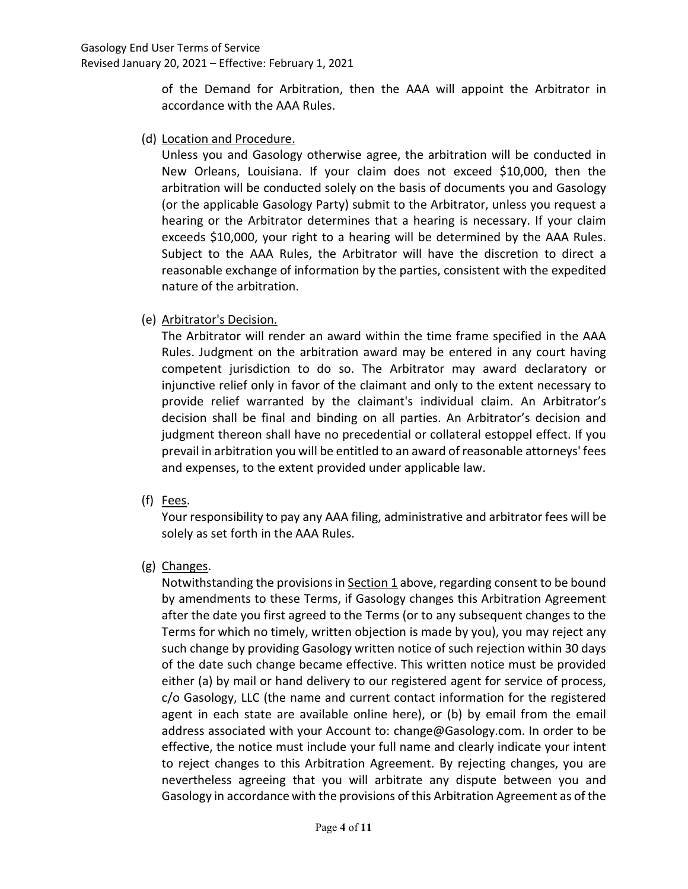of the Demand for Arbitration, then the AAA will appoint the Arbitrator in accordance with the AAA Rules.

(d) Location and Procedure.

Unless you and Gasology otherwise agree, the arbitration will be conducted in New Orleans, Louisiana. If your claim does not exceed \$10,000, then the arbitration will be conducted solely on the basis of documents you and Gasology (or the applicable Gasology Party) submit to the Arbitrator, unless you request a hearing or the Arbitrator determines that a hearing is necessary. If your claim exceeds \$10,000, your right to a hearing will be determined by the AAA Rules. Subject to the AAA Rules, the Arbitrator will have the discretion to direct a reasonable exchange of information by the parties, consistent with the expedited nature of the arbitration.

(e) Arbitrator's Decision.

The Arbitrator will render an award within the time frame specified in the AAA Rules. Judgment on the arbitration award may be entered in any court having competent jurisdiction to do so. The Arbitrator may award declaratory or injunctive relief only in favor of the claimant and only to the extent necessary to provide relief warranted by the claimant's individual claim. An Arbitrator's decision shall be final and binding on all parties. An Arbitrator's decision and judgment thereon shall have no precedential or collateral estoppel effect. If you prevail in arbitration you will be entitled to an award of reasonable attorneys' fees and expenses, to the extent provided under applicable law.

(f) Fees.

Your responsibility to pay any AAA filing, administrative and arbitrator fees will be solely as set forth in the AAA Rules.

(g) Changes.

Notwithstanding the provisions in Section 1 above, regarding consent to be bound by amendments to these Terms, if Gasology changes this Arbitration Agreement after the date you first agreed to the Terms (or to any subsequent changes to the Terms for which no timely, written objection is made by you), you may reject any such change by providing Gasology written notice of such rejection within 30 days of the date such change became effective. This written notice must be provided either (a) by mail or hand delivery to our registered agent for service of process, c/o Gasology, LLC (the name and current contact information for the registered agent in each state are available online here), or (b) by email from the email address associated with your Account to: change@Gasology.com. In order to be effective, the notice must include your full name and clearly indicate your intent to reject changes to this Arbitration Agreement. By rejecting changes, you are nevertheless agreeing that you will arbitrate any dispute between you and Gasology in accordance with the provisions of this Arbitration Agreement as of the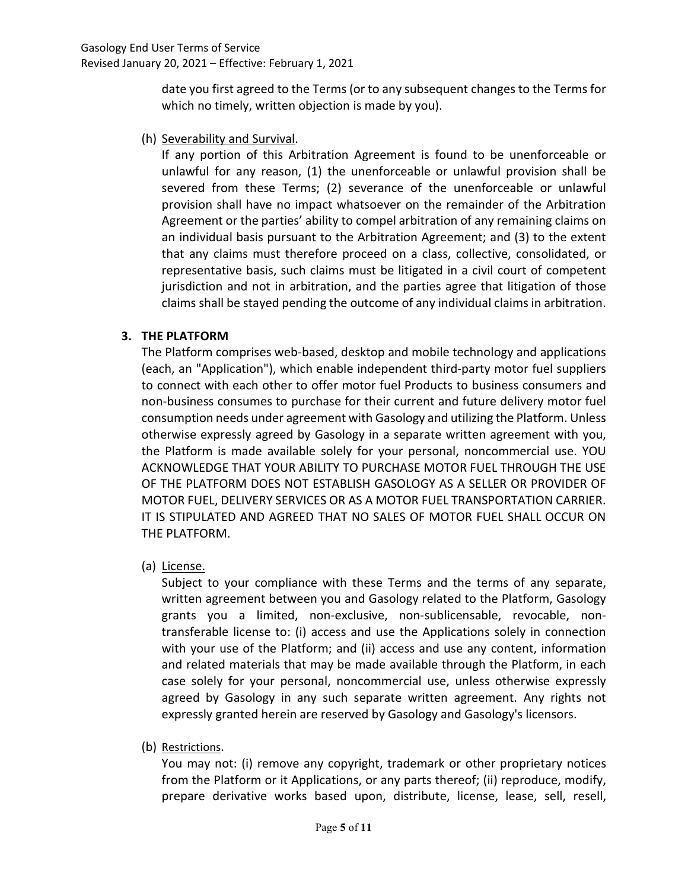date you first agreed to the Terms (or to any subsequent changes to the Terms for which no timely, written objection is made by you).

(h) Severability and Survival.

If any portion of this Arbitration Agreement is found to be unenforceable or unlawful for any reason, (1) the unenforceable or unlawful provision shall be severed from these Terms; (2) severance of the unenforceable or unlawful provision shall have no impact whatsoever on the remainder of the Arbitration Agreement or the parties' ability to compel arbitration of any remaining claims on an individual basis pursuant to the Arbitration Agreement; and (3) to the extent that any claims must therefore proceed on a class, collective, consolidated, or representative basis, such claims must be litigated in a civil court of competent jurisdiction and not in arbitration, and the parties agree that litigation of those claims shall be stayed pending the outcome of any individual claims in arbitration.

# 3. THE PLATFORM

The Platform comprises web-based, desktop and mobile technology and applications (each, an "Application"), which enable independent third-party motor fuel suppliers to connect with each other to offer motor fuel Products to business consumers and non-business consumes to purchase for their current and future delivery motor fuel consumption needs under agreement with Gasology and utilizing the Platform. Unless otherwise expressly agreed by Gasology in a separate written agreement with you, the Platform is made available solely for your personal, noncommercial use. YOU ACKNOWLEDGE THAT YOUR ABILITY TO PURCHASE MOTOR FUEL THROUGH THE USE OF THE PLATFORM DOES NOT ESTABLISH GASOLOGY AS A SELLER OR PROVIDER OF MOTOR FUEL, DELIVERY SERVICES OR AS A MOTOR FUEL TRANSPORTATION CARRIER. IT IS STIPULATED AND AGREED THAT NO SALES OF MOTOR FUEL SHALL OCCUR ON THE PLATFORM.

(a) License.

Subject to your compliance with these Terms and the terms of any separate, written agreement between you and Gasology related to the Platform, Gasology grants you a limited, non-exclusive, non-sublicensable, revocable, nontransferable license to: (i) access and use the Applications solely in connection with your use of the Platform; and (ii) access and use any content, information and related materials that may be made available through the Platform, in each case solely for your personal, noncommercial use, unless otherwise expressly agreed by Gasology in any such separate written agreement. Any rights not expressly granted herein are reserved by Gasology and Gasology's licensors.

(b) Restrictions.

You may not: (i) remove any copyright, trademark or other proprietary notices from the Platform or it Applications, or any parts thereof; (ii) reproduce, modify, prepare derivative works based upon, distribute, license, lease, sell, resell,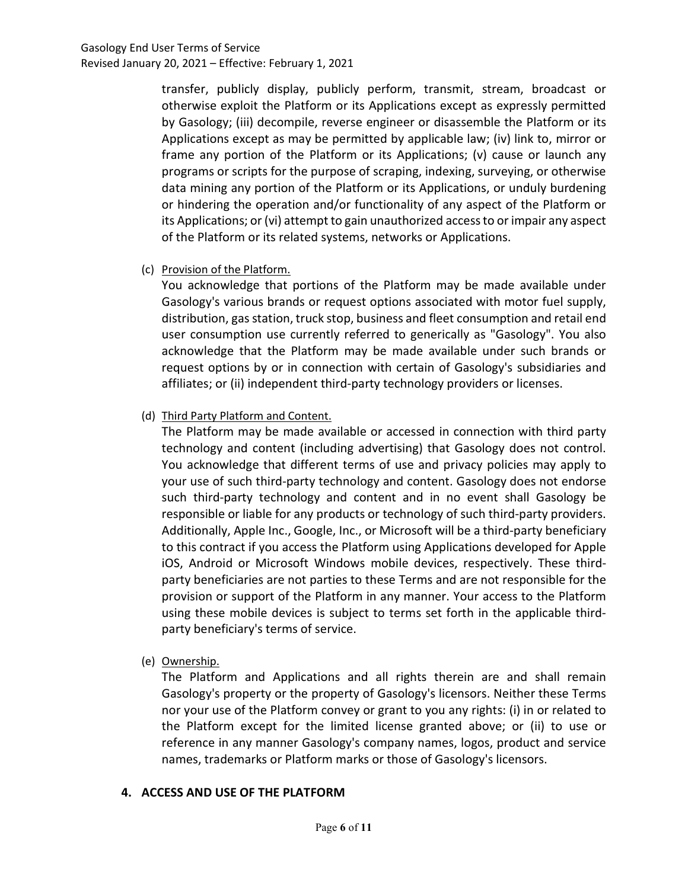transfer, publicly display, publicly perform, transmit, stream, broadcast or otherwise exploit the Platform or its Applications except as expressly permitted by Gasology; (iii) decompile, reverse engineer or disassemble the Platform or its Applications except as may be permitted by applicable law; (iv) link to, mirror or frame any portion of the Platform or its Applications; (v) cause or launch any programs or scripts for the purpose of scraping, indexing, surveying, or otherwise data mining any portion of the Platform or its Applications, or unduly burdening or hindering the operation and/or functionality of any aspect of the Platform or its Applications; or (vi) attempt to gain unauthorized access to or impair any aspect of the Platform or its related systems, networks or Applications.

(c) Provision of the Platform.

You acknowledge that portions of the Platform may be made available under Gasology's various brands or request options associated with motor fuel supply, distribution, gas station, truck stop, business and fleet consumption and retail end user consumption use currently referred to generically as "Gasology". You also acknowledge that the Platform may be made available under such brands or request options by or in connection with certain of Gasology's subsidiaries and affiliates; or (ii) independent third-party technology providers or licenses.

(d) Third Party Platform and Content.

The Platform may be made available or accessed in connection with third party technology and content (including advertising) that Gasology does not control. You acknowledge that different terms of use and privacy policies may apply to your use of such third-party technology and content. Gasology does not endorse such third-party technology and content and in no event shall Gasology be responsible or liable for any products or technology of such third-party providers. Additionally, Apple Inc., Google, Inc., or Microsoft will be a third-party beneficiary to this contract if you access the Platform using Applications developed for Apple iOS, Android or Microsoft Windows mobile devices, respectively. These thirdparty beneficiaries are not parties to these Terms and are not responsible for the provision or support of the Platform in any manner. Your access to the Platform using these mobile devices is subject to terms set forth in the applicable thirdparty beneficiary's terms of service.

(e) Ownership.

The Platform and Applications and all rights therein are and shall remain Gasology's property or the property of Gasology's licensors. Neither these Terms nor your use of the Platform convey or grant to you any rights: (i) in or related to the Platform except for the limited license granted above; or (ii) to use or reference in any manner Gasology's company names, logos, product and service names, trademarks or Platform marks or those of Gasology's licensors.

### 4. ACCESS AND USE OF THE PLATFORM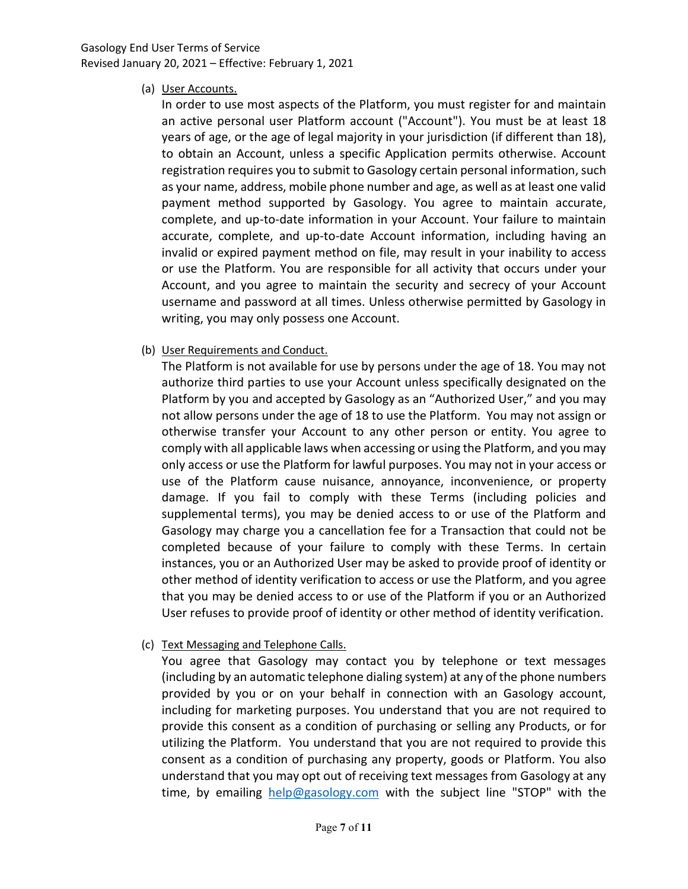### Gasology End User Terms of Service Revised January 20, 2021 – Effective: February 1, 2021

(a) User Accounts.

In order to use most aspects of the Platform, you must register for and maintain an active personal user Platform account ("Account"). You must be at least 18 years of age, or the age of legal majority in your jurisdiction (if different than 18), to obtain an Account, unless a specific Application permits otherwise. Account registration requires you to submit to Gasology certain personal information, such as your name, address, mobile phone number and age, as well as at least one valid payment method supported by Gasology. You agree to maintain accurate, complete, and up-to-date information in your Account. Your failure to maintain accurate, complete, and up-to-date Account information, including having an invalid or expired payment method on file, may result in your inability to access or use the Platform. You are responsible for all activity that occurs under your Account, and you agree to maintain the security and secrecy of your Account username and password at all times. Unless otherwise permitted by Gasology in writing, you may only possess one Account.

(b) User Requirements and Conduct.

The Platform is not available for use by persons under the age of 18. You may not authorize third parties to use your Account unless specifically designated on the Platform by you and accepted by Gasology as an "Authorized User," and you may not allow persons under the age of 18 to use the Platform. You may not assign or otherwise transfer your Account to any other person or entity. You agree to comply with all applicable laws when accessing or using the Platform, and you may only access or use the Platform for lawful purposes. You may not in your access or use of the Platform cause nuisance, annoyance, inconvenience, or property damage. If you fail to comply with these Terms (including policies and supplemental terms), you may be denied access to or use of the Platform and Gasology may charge you a cancellation fee for a Transaction that could not be completed because of your failure to comply with these Terms. In certain instances, you or an Authorized User may be asked to provide proof of identity or other method of identity verification to access or use the Platform, and you agree that you may be denied access to or use of the Platform if you or an Authorized User refuses to provide proof of identity or other method of identity verification.

(c) Text Messaging and Telephone Calls.

You agree that Gasology may contact you by telephone or text messages (including by an automatic telephone dialing system) at any of the phone numbers provided by you or on your behalf in connection with an Gasology account, including for marketing purposes. You understand that you are not required to provide this consent as a condition of purchasing or selling any Products, or for utilizing the Platform. You understand that you are not required to provide this consent as a condition of purchasing any property, goods or Platform. You also understand that you may opt out of receiving text messages from Gasology at any time, by emailing help@gasology.com with the subject line "STOP" with the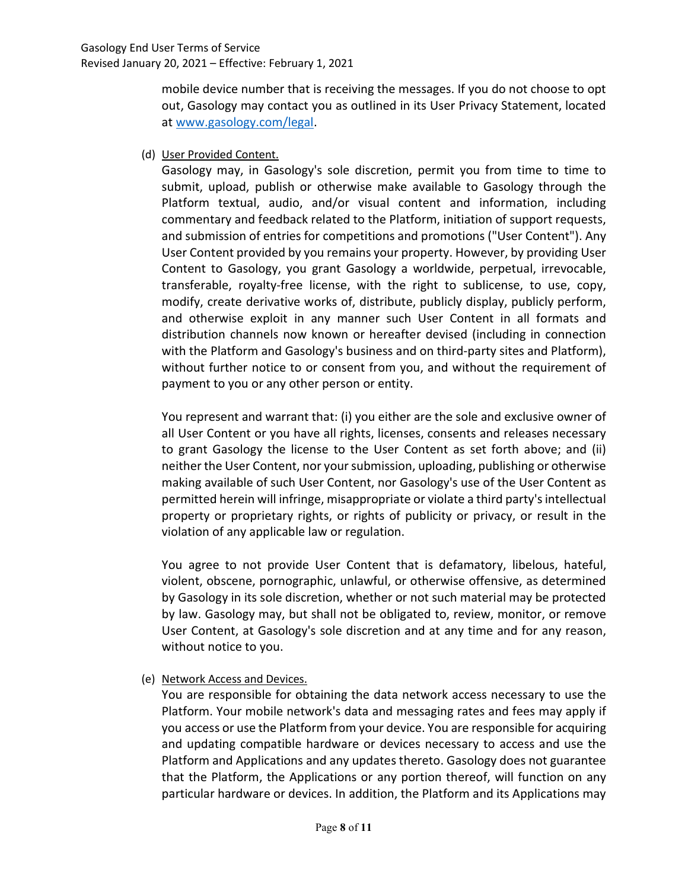mobile device number that is receiving the messages. If you do not choose to opt out, Gasology may contact you as outlined in its User Privacy Statement, located at www.gasology.com/legal.

(d) User Provided Content.

Gasology may, in Gasology's sole discretion, permit you from time to time to submit, upload, publish or otherwise make available to Gasology through the Platform textual, audio, and/or visual content and information, including commentary and feedback related to the Platform, initiation of support requests, and submission of entries for competitions and promotions ("User Content"). Any User Content provided by you remains your property. However, by providing User Content to Gasology, you grant Gasology a worldwide, perpetual, irrevocable, transferable, royalty-free license, with the right to sublicense, to use, copy, modify, create derivative works of, distribute, publicly display, publicly perform, and otherwise exploit in any manner such User Content in all formats and distribution channels now known or hereafter devised (including in connection with the Platform and Gasology's business and on third-party sites and Platform), without further notice to or consent from you, and without the requirement of payment to you or any other person or entity.

You represent and warrant that: (i) you either are the sole and exclusive owner of all User Content or you have all rights, licenses, consents and releases necessary to grant Gasology the license to the User Content as set forth above; and (ii) neither the User Content, nor your submission, uploading, publishing or otherwise making available of such User Content, nor Gasology's use of the User Content as permitted herein will infringe, misappropriate or violate a third party's intellectual property or proprietary rights, or rights of publicity or privacy, or result in the violation of any applicable law or regulation.

You agree to not provide User Content that is defamatory, libelous, hateful, violent, obscene, pornographic, unlawful, or otherwise offensive, as determined by Gasology in its sole discretion, whether or not such material may be protected by law. Gasology may, but shall not be obligated to, review, monitor, or remove User Content, at Gasology's sole discretion and at any time and for any reason, without notice to you.

(e) Network Access and Devices.

You are responsible for obtaining the data network access necessary to use the Platform. Your mobile network's data and messaging rates and fees may apply if you access or use the Platform from your device. You are responsible for acquiring and updating compatible hardware or devices necessary to access and use the Platform and Applications and any updates thereto. Gasology does not guarantee that the Platform, the Applications or any portion thereof, will function on any particular hardware or devices. In addition, the Platform and its Applications may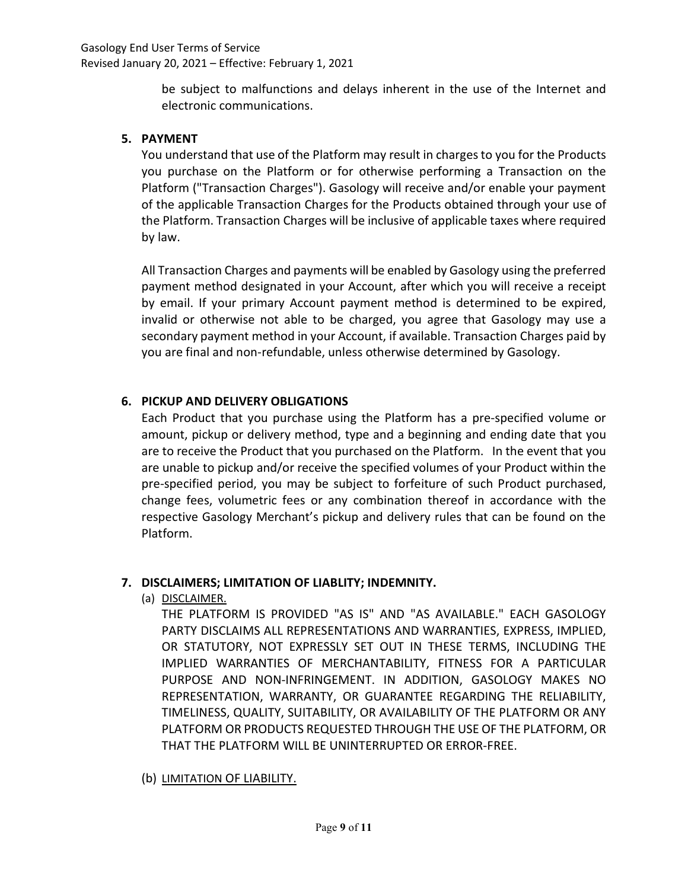be subject to malfunctions and delays inherent in the use of the Internet and electronic communications.

### 5. PAYMENT

You understand that use of the Platform may result in charges to you for the Products you purchase on the Platform or for otherwise performing a Transaction on the Platform ("Transaction Charges"). Gasology will receive and/or enable your payment of the applicable Transaction Charges for the Products obtained through your use of the Platform. Transaction Charges will be inclusive of applicable taxes where required by law.

All Transaction Charges and payments will be enabled by Gasology using the preferred payment method designated in your Account, after which you will receive a receipt by email. If your primary Account payment method is determined to be expired, invalid or otherwise not able to be charged, you agree that Gasology may use a secondary payment method in your Account, if available. Transaction Charges paid by you are final and non-refundable, unless otherwise determined by Gasology.

# 6. PICKUP AND DELIVERY OBLIGATIONS

Each Product that you purchase using the Platform has a pre-specified volume or amount, pickup or delivery method, type and a beginning and ending date that you are to receive the Product that you purchased on the Platform. In the event that you are unable to pickup and/or receive the specified volumes of your Product within the pre-specified period, you may be subject to forfeiture of such Product purchased, change fees, volumetric fees or any combination thereof in accordance with the respective Gasology Merchant's pickup and delivery rules that can be found on the Platform.

### 7. DISCLAIMERS; LIMITATION OF LIABLITY; INDEMNITY.

(a) DISCLAIMER.

THE PLATFORM IS PROVIDED "AS IS" AND "AS AVAILABLE." EACH GASOLOGY PARTY DISCLAIMS ALL REPRESENTATIONS AND WARRANTIES, EXPRESS, IMPLIED, OR STATUTORY, NOT EXPRESSLY SET OUT IN THESE TERMS, INCLUDING THE IMPLIED WARRANTIES OF MERCHANTABILITY, FITNESS FOR A PARTICULAR PURPOSE AND NON-INFRINGEMENT. IN ADDITION, GASOLOGY MAKES NO REPRESENTATION, WARRANTY, OR GUARANTEE REGARDING THE RELIABILITY, TIMELINESS, QUALITY, SUITABILITY, OR AVAILABILITY OF THE PLATFORM OR ANY PLATFORM OR PRODUCTS REQUESTED THROUGH THE USE OF THE PLATFORM, OR THAT THE PLATFORM WILL BE UNINTERRUPTED OR ERROR-FREE.

# (b) LIMITATION OF LIABILITY.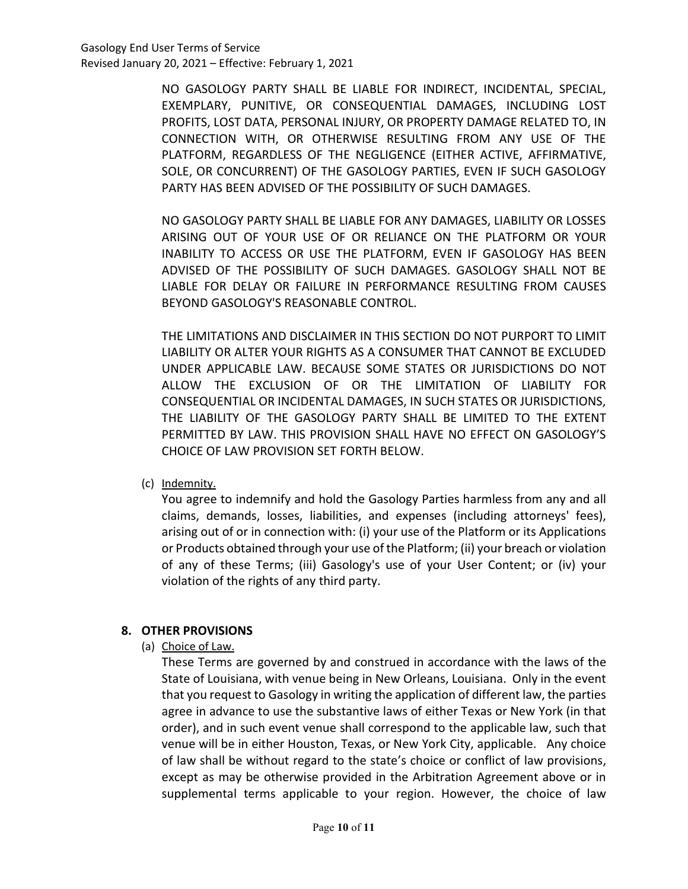NO GASOLOGY PARTY SHALL BE LIABLE FOR INDIRECT, INCIDENTAL, SPECIAL, EXEMPLARY, PUNITIVE, OR CONSEQUENTIAL DAMAGES, INCLUDING LOST PROFITS, LOST DATA, PERSONAL INJURY, OR PROPERTY DAMAGE RELATED TO, IN CONNECTION WITH, OR OTHERWISE RESULTING FROM ANY USE OF THE PLATFORM, REGARDLESS OF THE NEGLIGENCE (EITHER ACTIVE, AFFIRMATIVE, SOLE, OR CONCURRENT) OF THE GASOLOGY PARTIES, EVEN IF SUCH GASOLOGY PARTY HAS BEEN ADVISED OF THE POSSIBILITY OF SUCH DAMAGES.

NO GASOLOGY PARTY SHALL BE LIABLE FOR ANY DAMAGES, LIABILITY OR LOSSES ARISING OUT OF YOUR USE OF OR RELIANCE ON THE PLATFORM OR YOUR INABILITY TO ACCESS OR USE THE PLATFORM, EVEN IF GASOLOGY HAS BEEN ADVISED OF THE POSSIBILITY OF SUCH DAMAGES. GASOLOGY SHALL NOT BE LIABLE FOR DELAY OR FAILURE IN PERFORMANCE RESULTING FROM CAUSES BEYOND GASOLOGY'S REASONABLE CONTROL.

THE LIMITATIONS AND DISCLAIMER IN THIS SECTION DO NOT PURPORT TO LIMIT LIABILITY OR ALTER YOUR RIGHTS AS A CONSUMER THAT CANNOT BE EXCLUDED UNDER APPLICABLE LAW. BECAUSE SOME STATES OR JURISDICTIONS DO NOT ALLOW THE EXCLUSION OF OR THE LIMITATION OF LIABILITY FOR CONSEQUENTIAL OR INCIDENTAL DAMAGES, IN SUCH STATES OR JURISDICTIONS, THE LIABILITY OF THE GASOLOGY PARTY SHALL BE LIMITED TO THE EXTENT PERMITTED BY LAW. THIS PROVISION SHALL HAVE NO EFFECT ON GASOLOGY'S CHOICE OF LAW PROVISION SET FORTH BELOW.

(c) Indemnity.

You agree to indemnify and hold the Gasology Parties harmless from any and all claims, demands, losses, liabilities, and expenses (including attorneys' fees), arising out of or in connection with: (i) your use of the Platform or its Applications or Products obtained through your use of the Platform; (ii) your breach or violation of any of these Terms; (iii) Gasology's use of your User Content; or (iv) your violation of the rights of any third party.

# 8. OTHER PROVISIONS

(a) Choice of Law.

These Terms are governed by and construed in accordance with the laws of the State of Louisiana, with venue being in New Orleans, Louisiana. Only in the event that you request to Gasology in writing the application of different law, the parties agree in advance to use the substantive laws of either Texas or New York (in that order), and in such event venue shall correspond to the applicable law, such that venue will be in either Houston, Texas, or New York City, applicable. Any choice of law shall be without regard to the state's choice or conflict of law provisions, except as may be otherwise provided in the Arbitration Agreement above or in supplemental terms applicable to your region. However, the choice of law